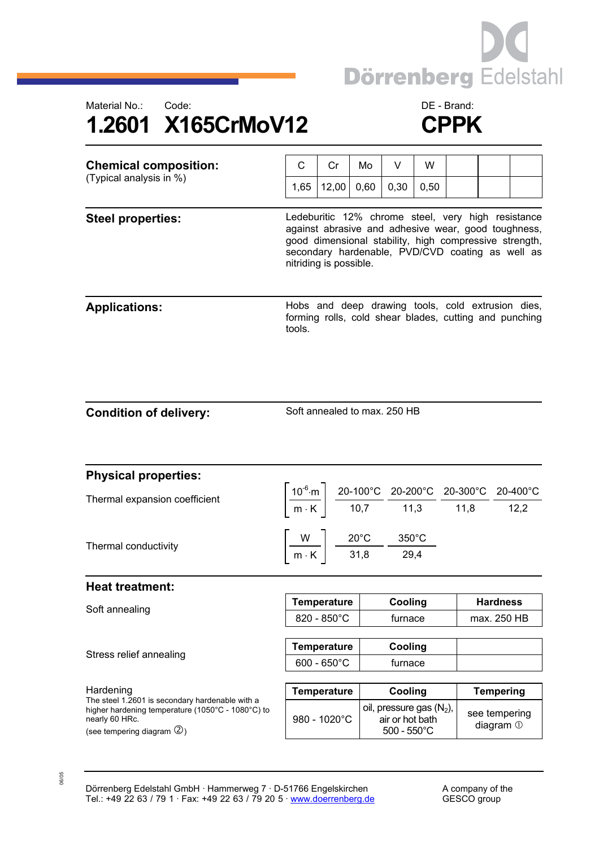



| <b>Chemical composition:</b><br>(Typical analysis in %) | C                                                                                                                                                                                                                                                 | Cr                                                                           | Mo   | V                  | W       |                                |                                                                                                                                                                                                                                             |  |
|---------------------------------------------------------|---------------------------------------------------------------------------------------------------------------------------------------------------------------------------------------------------------------------------------------------------|------------------------------------------------------------------------------|------|--------------------|---------|--------------------------------|---------------------------------------------------------------------------------------------------------------------------------------------------------------------------------------------------------------------------------------------|--|
|                                                         | 1,65                                                                                                                                                                                                                                              | 12,00                                                                        | 0,60 | 0,30               | 0,50    |                                |                                                                                                                                                                                                                                             |  |
| <b>Steel properties:</b>                                | Ledeburitic 12% chrome steel, very high resistance<br>against abrasive and adhesive wear, good toughness,<br>good dimensional stability, high compressive strength,<br>secondary hardenable, PVD/CVD coating as well as<br>nitriding is possible. |                                                                              |      |                    |         |                                |                                                                                                                                                                                                                                             |  |
| <b>Applications:</b>                                    | tools.                                                                                                                                                                                                                                            |                                                                              |      |                    |         |                                | Hobs and deep drawing tools, cold extrusion dies,<br>forming rolls, cold shear blades, cutting and punching                                                                                                                                 |  |
| <b>Condition of delivery:</b>                           |                                                                                                                                                                                                                                                   | Soft annealed to max. 250 HB                                                 |      |                    |         |                                |                                                                                                                                                                                                                                             |  |
| <b>Physical properties:</b>                             |                                                                                                                                                                                                                                                   |                                                                              |      |                    |         |                                |                                                                                                                                                                                                                                             |  |
| Thermal expansion coefficient                           |                                                                                                                                                                                                                                                   |                                                                              |      |                    |         |                                | $\left[\frac{10^{-6}\text{ m}}{\text{m} \cdot \text{K}}\right] \frac{\text{20-100}^{\circ}\text{C}}{10,7} \frac{\text{20-200}^{\circ}\text{C}}{11,3} \frac{\text{20-300}^{\circ}\text{C}}{11,8} \frac{\text{20-400}^{\circ}\text{C}}{12,2}$ |  |
| Thermal conductivity                                    |                                                                                                                                                                                                                                                   | $\frac{W}{m \cdot K}$ $\frac{20^{\circ}C}{31,8}$ $\frac{350^{\circ}C}{29,4}$ |      |                    |         |                                |                                                                                                                                                                                                                                             |  |
| <b>Heat treatment:</b>                                  |                                                                                                                                                                                                                                                   |                                                                              |      |                    |         |                                |                                                                                                                                                                                                                                             |  |
| Soft annealing                                          |                                                                                                                                                                                                                                                   | <b>Temperature</b><br>820 - 850°C                                            |      | Cooling<br>furnace |         | <b>Hardness</b><br>max. 250 HB |                                                                                                                                                                                                                                             |  |
|                                                         |                                                                                                                                                                                                                                                   |                                                                              |      |                    |         |                                |                                                                                                                                                                                                                                             |  |
| Stress relief annealing                                 |                                                                                                                                                                                                                                                   | <b>Temperature</b>                                                           |      | Cooling            |         |                                |                                                                                                                                                                                                                                             |  |
|                                                         |                                                                                                                                                                                                                                                   | $600 - 650^{\circ}$ C                                                        |      |                    | furnace |                                |                                                                                                                                                                                                                                             |  |

Hardening **Temperature Temperature Cooling** Tempering The steel 1.2601 is secondary hardenable with a higher hardening temperature (1050°C - 1080°C) to nearly 60 HRc. (see tempering diagram  $\mathcal{Q}_1$ ) 980 - 1020°C oil, pressure gas  $(N_2)$ , air or hot bath 500 - 550°C see tempering diagram  $\odot$